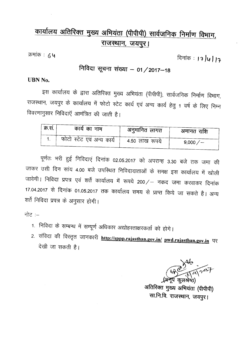## <u>कार्यालय अतिरिक्त मुख्य अभियंता (पीपीपी) सार्वजनिक निर्माण</u> विभाग, <u>राजस्थान, जयपुर।</u>

क्रमांक : ८५

दिनांक : 17 /4 / 17

# निविदा सूचना संख्या - 01 / 2017-18

#### UBN No.

इस कार्यालय के द्वारा अतिरिक्त मुख्य अभियंता (पीपीपी), सार्वजनिक निर्माण विभाग, राजस्थान, जयपुर के कार्यालय में फोटो स्टेट कार्य एवं अन्य कार्य हेतु 1 वर्ष के लिए निम्न विवरणानुसार निविदाएँ आमंत्रित की जाती है।

| क्र.स. | कार्य का नाम              | अनुमानित लागत  | अमानत राशि  |
|--------|---------------------------|----------------|-------------|
|        | फोटो स्टेट एवं अन्य कार्य | 4.50 लाख रूपये | $9,000 / -$ |

पूर्णतः भरी हुई निविदाएं दिनांक 02.05.2017 को अपरान्ह 3.30 बजे तक जमा की जाकर उसी दिन सांय 4.00 बजे उपस्थित निविदादाताओं के समक्ष इस कार्यालय में खोली जावेगी। निविदा प्रपत्र एवं शर्ते कार्यालय में रूपये 200/– नकद जमा करवाकर दिनांक 17.04.2017 से दिनांक 01.05.2017 तक कार्यालय समय से प्राप्त किये जा सकते है। अन्य शर्ते निविदा प्रपत्र के अनुसार होगी।

नोट $:=$ 

- 1. निविदा के सम्बन्ध में सम्पूर्ण अधिकार अद्योहस्ताक्षरकर्ता को होगे।
- 2. संविदा की विस्तृत जानकारी <u>http://sppp.rajasthan.gov.in</u>/ pwd.rajasthan.gov.in पर  $\vec{a}$ खी जा सकती है।

 $\gamma$   $\sim$   $\gamma$  $(98)$  $\tilde{\mathcal{V}}$ 

कुल $\cdot$ आतारक्त मुख्य आभयता (पीपीपी) सा.नि.वि. राजस्थान, जयपुर।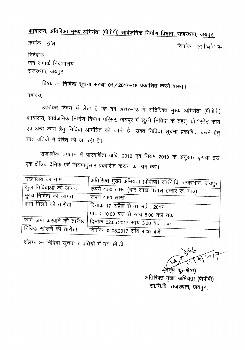कार्यालय, अतिरिक्त मुख्य अभियंता (पीपीपी) सार्वजनिक निर्माण विभाग, राजस्थान, जयपुर। क्रमांक $:6$ ५ दिनांक : 17/4/17 निदेशक. जन सम्पर्क निदेशालय राजस्थान, जयपुर।

विषय :- निविदा सूचना संख्या 01/2017-18 प्रकाशित करने बाबत् । महोदय,

उपरोक्त विषय में लेख है कि वर्ष 2017–18 में अतिरिक्त मुख्य अभियंता (पीपीपी) कार्यालय, सार्वजनिक निर्माण विभाग परिसर, जयपुर में खुली निविदा के तहत् फोटोस्टेट कार्य एवं अन्य कार्य हेतु निविदा आमंत्रित की जानी है। उक्त निविदा सूचना प्रकाशित करने हेतु सात प्रतियों में प्रेषित की जा रही है।

राज.लोक उपापन में पारदर्शिता अधि. 2012 एवं नियम 2013 के अनुसार कृपया इसे एक क्षैत्रिय दैनिक एवं नियमानुसार प्रकाशित कराने का श्रम करे।

| मुख्यालय का नाम       |                                                              |
|-----------------------|--------------------------------------------------------------|
|                       | अतिरिक्त मुख्य अभियंता (पीपीपी) सा.नि.वि. राजस्थान, जयपुर    |
| कुल निविदाओं की लागत  | रूपये 4.50 लाख (चार लाख पचास हजार रू. मात्र)                 |
| मुख्य निविदा की लागत  | रूपये 4.50 लाख                                               |
| फार्म मिलने की तारीख  | दिनांक 17 अप्रैल से 01 मई , 2017                             |
|                       |                                                              |
|                       | प्रात : 10:00 बजे से सांय 5:00 बजे तक                        |
|                       | फार्म जमा करवाने की तारीख दिनांक 02.05.2017 सांय 3:30 बजे तक |
| निविदा खोलने की तारीख |                                                              |
|                       | दिनांक 02.05.2017 सांय 4:00 बजे                              |

संलग्न :- निविदा सूचना 7 प्रतियों में मय सी.डी.

﴿अँनूप कुलश्रेष्ठ) अतिरिक्त मुख्य अभियंता (पीपीपी) सा.नि.वि. राजस्थान, जयपुर।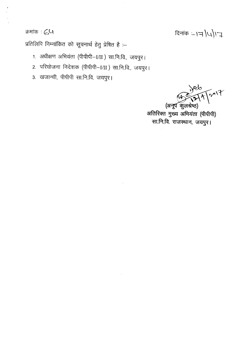### क्रमांक : ८५

दिनांक = 17/4/17

प्रतिलिपि निम्नांकित को सूचनार्थ हेतु प्रेषित है :-

- 1. अधीक्षण अभियंता (पीपीपी-I/II) सा.नि.वि., जयपुर।
- 2. परियोजना निदेशक (पीपीपी–I/II ) सा.नि.वि., जयपुर।
- 3. खजान्ची, पीपीपी सा.नि.वि. जयपुर।

 $4\sqrt{2017}$ 

(अनूप कुलश्रेष्ठ) अतिरिक्त मुख्य अभियंता (पीपीपी) सा.नि.वि. राजस्थान, जयपुर।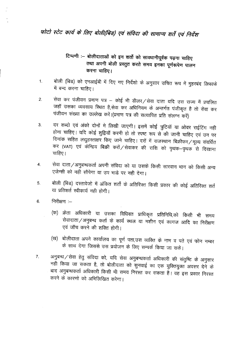### फोटो स्टेट कार्य के लिए बोली(बिड) एवं संविदा की सामान्य शर्ते एवं निर्देश

#### टिप्पणी :– बोलीदाताओं को इन शर्तो को सावधानीपूर्वक पढ़ना चाहिए तथा अपनी बोली प्रस्तुत करते समय इनका पूर्णरूपेण पालन करना चाहिए।

- बोली (बिड) को एनआईबी में दिए गए निर्देशो के अनुसार उचित रूप में मुहरबंद लिफाफे  $1.$ में बन्द करना चाहिए।
- सेवा कर पंजीयन प्रमाण पत्र कोई भी डीलर/सेवा दाता यदि उस राज्य में प्रचलित 2. जहॉं उसका व्यवसाय स्थित है,सेवा कर अधिनियम के अन्तर्गत पंजीकृत है तो सेवा कर पंजीयन संख्या का उल्लेख करें।(प्रमाण पत्र की सत्यापित प्रति संलग्न करें)
- दर शब्दो एवं अंको दोनों मे लिखी जाएगी। इसमें कोई त्रुटियॉ या ओवर राईटिंग नही  $3.$ होना चाहिए। यदि कोई शुद्वियॉ करनी हो तो स्पष्ट रूप से की जानी चाहिए एवं उन पर दिनांक सहित लद्युहस्ताक्षर किए जाने चाहिए। दरों में राजस्थान बिक्रीकर / मूल्य संवर्धित कर (VAT) एवं केन्द्रिय बिक्री करों /सेवाकर की राशि को पृथक–पृथक से दिखाना चाहिए।
- सेवा दाता/अनुबन्धकर्ता अपनी संविदा को या उसके किसी सारवान भाग को किसी अन्य 4. एजेन्सी को नही सौपेगा या उप भाड़े पर नही देगा।
- बोली (बिड) दस्तावेजो में अंकित शर्तो के अतिरिक्त किसी प्रकार की कोई अतिरिक्त शर्त 5. या प्रतिशर्त स्वीकार्य नही होगी।
- निरीक्षण :-6.
	- (क) क्रेता अधिकारी या उसका विधिवत प्राधिकृत प्रतिनिधि,को किसी भी समय सेवादाता/अनुबन्ध कर्ता के कार्य स्थल या मशीन एवं कागज आदि का निरीक्षण एवं जॉंच करने की शक्ति होगी।
	- (ख) बोलीदाता अपने कार्यालय का पूर्ण पता,उस व्यक्ति के नाम व पते एवं फोन नम्बर के साथ देगा जिससे उस प्रयोजन के लिए सम्पर्क किया जा सके।
- अनुबन्ध / सेवा हेतु संविदा को, यदि सेवा अनुबन्धकर्ता अधिकारी की संतुष्टि के अनुसार  $7.$ नहीं किया जा सकता है, तो बोलीदाता को सुनवाई का एक युक्तियुक्त अवसर देने के बाद अनुबन्धकर्ता अधिकारी किसी भी समय निरस्त कर सकता है। वह इस प्रकार निरस्त करने के कारणो को अभिलिखित करेगा।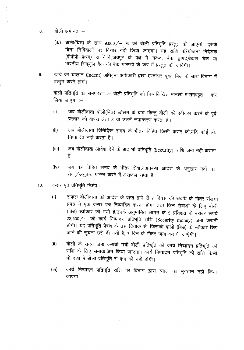- 8. बोली अमानत :--
	- (क) बोली(बिड) के साथ 9,000/- रू की बोली प्रतिभूति प्रस्तुत की जाएगी। इसके बिना निविदाओं पर विचार नही किया जाएगा। यह राशि <u>परियोजना निदेशक</u> (पीपीपी—प्रथम) सा.नि.वि.,जयपुर के पक्ष मे नकद, बैक ड्राफ्ट,बैकर्स चैक या भारतीय सिड्यूल बैंक की बैक गारण्टी के रूप में प्रस्तुत की जावेगी।
- 9. व्यार्य का चालान (Indent) अधिकृत अधिकारी द्वारा हस्ताक्षर यूक्त बिल के साथ विभाग में प्रस्तुत करने होगें।

बोली प्रतिभूति का समपहरण :-- बोली प्रतिभूति को निम्नलिखित मामलो में समपहृत कर लिया जाएगा  $-$ 

- (i) जब बोलीदाता बोली(बिड) खोलने के बाद किन्तु बोली को स्वीकार करने के पूर्व प्रस्ताव को वापस लेता है या उसमें रूपान्तरण करता है।
- (ii) जब बोलीदाता विनिर्दिष्ट समय के भीतर विहित किसी करार को,यदि कोई हो, निष्पादित नही करता है।
- (iii) जिब बोलीदाता आदेश देने के बाद भी प्रतिभूति (Security) राशि जमा नही कराता है ।
- (iv) जब वह विहित समय के भीतर सेवा /अनुबन्ध आदेश के अनुसार मदों का  $R$ वा/अनुबन्ध प्रारम्भ करने में असफल रहता है।
- $10.$   $-$  करार एवं प्रतिभूति निक्षेप :-
	- (i) सफल बोलीदाता को आदेश के प्राप्त होने से 7 दिवस की अवधि के भीतर संलग्न प्रपत्र में एक करार पत्र निष्पादित करना होगा तथा जिन सेवाओं के लिए बोली *(*बिड) स्वीकार की गयी है,उनके अनुमानित लागत के 5 प्रतिशत के बराबर रूपये 22,500 / - की कार्य निष्पादन प्रतिभूति राशि (Security money) जमा करानी होगी। यह प्रतिभूति प्रेषण के उस दिनांक से, जिसको बोली (बिड) के स्वीकार किए जाने की सूचना उसे दी गयी है, 7 दिन के भीतर जमा करायी जाऐगी।
	- (ii) aiली के समय जमा करायी गयी बोली प्रतिभूति को कार्य निष्पादन प्रतिभूति की राशि के लिए समायोजित किया जाएगा। कार्य निष्पादन प्रतिभूति की राशि किसी भी दशा मे बोली प्रतिभूति से कम की नही होगी।
	- (iii) कार्य निष्पादन प्रतिभूति राशि पर विभाग द्वारा ब्याज का भुगतान नही किया जाएगा।